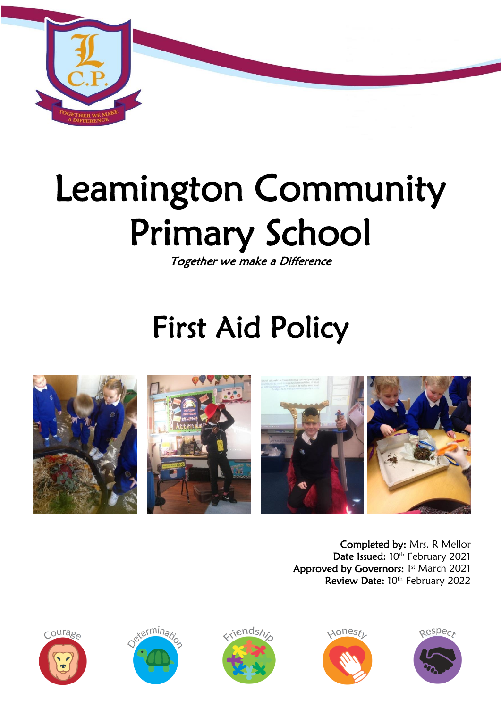

# Leamington Community Primary School

Together we make a Difference

# First Aid Policy



Completed by: Mrs. R Mellor Date Issued: 10th February 2021 Approved by Governors: 1st March 2021 Review Date: 10th February 2022









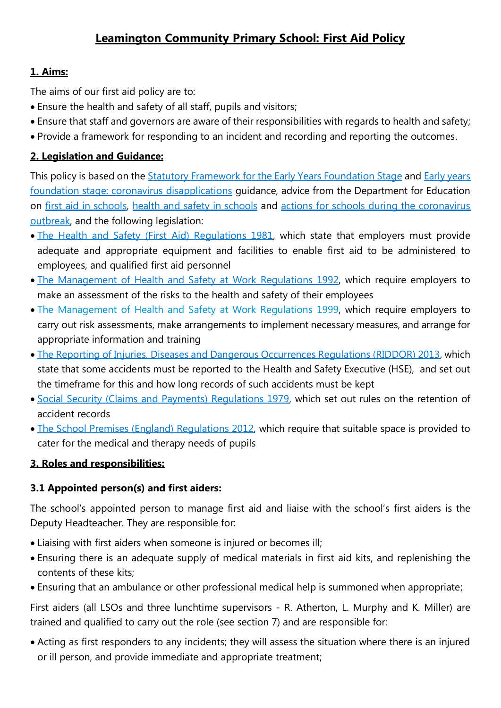# **Leamington Community Primary School: First Aid Policy**

#### **1. Aims:**

The aims of our first aid policy are to:

- Ensure the health and safety of all staff, pupils and visitors;
- Ensure that staff and governors are aware of their responsibilities with regards to health and safety;
- Provide a framework for responding to an incident and recording and reporting the outcomes.

#### **2. Legislation and Guidance:**

This policy is based on the [Statutory Framework for the Early Years Foundation Stage](https://www.gov.uk/government/publications/early-years-foundation-stage-framework--2) and Early years [foundation stage: coronavirus disapplications](https://www.gov.uk/government/publications/early-years-foundation-stage-framework--2/early-years-foundation-stage-coronavirus-disapplications) guidance, advice from the Department for Education on [first aid in schools,](https://www.gov.uk/government/publications/first-aid-in-schools) [health and safety in schools](https://www.gov.uk/government/publications/health-and-safety-advice-for-schools) and [actions for schools during the coronavirus](https://www.gov.uk/government/publications/actions-for-schools-during-the-coronavirus-outbreak)  [outbreak,](https://www.gov.uk/government/publications/actions-for-schools-during-the-coronavirus-outbreak) and the following legislation:

- [The Health and Safety \(First Aid\) Regulations 1981,](http://www.legislation.gov.uk/uksi/1981/917/regulation/3/made) which state that employers must provide adequate and appropriate equipment and facilities to enable first aid to be administered to employees, and qualified first aid personnel
- [The Management of Health and Safety at](http://www.legislation.gov.uk/uksi/1992/2051/regulation/3/made) Work Regulations 1992, which require employers to make an assessment of the risks to the health and safety of their employees
- [The Management of Health and Safety at Work Regulations 1999,](http://www.legislation.gov.uk/uksi/1999/3242/contents/made) which require employers to carry out risk assessments, make arrangements to implement necessary measures, and arrange for appropriate information and training
- [The Reporting of Injuries, Diseases and Dangerous Occurrences Regulations \(RIDDOR\) 2013,](http://www.legislation.gov.uk/uksi/2013/1471/schedule/1/paragraph/1/made) which state that some accidents must be reported to the Health and Safety Executive (HSE), and set out the timeframe for this and how long records of such accidents must be kept
- [Social Security \(Claims and Payments\) Regulations 1979,](http://www.legislation.gov.uk/uksi/1979/628) which set out rules on the retention of accident records
- [The School Premises \(England\) Regulations 2012,](http://www.legislation.gov.uk/uksi/2012/1943/regulation/5/made) which require that suitable space is provided to cater for the medical and therapy needs of pupils

#### **3. Roles and responsibilities:**

#### **3.1 Appointed person(s) and first aiders:**

The school's appointed person to manage first aid and liaise with the school's first aiders is the Deputy Headteacher. They are responsible for:

- Liaising with first aiders when someone is injured or becomes ill;
- Ensuring there is an adequate supply of medical materials in first aid kits, and replenishing the contents of these kits;
- Ensuring that an ambulance or other professional medical help is summoned when appropriate;

First aiders (all LSOs and three lunchtime supervisors - R. Atherton, L. Murphy and K. Miller) are trained and qualified to carry out the role (see section 7) and are responsible for:

 Acting as first responders to any incidents; they will assess the situation where there is an injured or ill person, and provide immediate and appropriate treatment;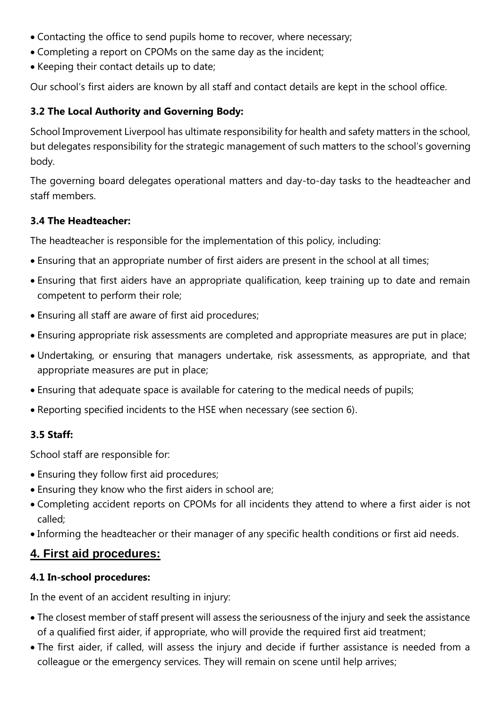- Contacting the office to send pupils home to recover, where necessary;
- Completing a report on CPOMs on the same day as the incident;
- Keeping their contact details up to date;

Our school's first aiders are known by all staff and contact details are kept in the school office.

#### **3.2 The Local Authority and Governing Body:**

School Improvement Liverpool has ultimate responsibility for health and safety matters in the school, but delegates responsibility for the strategic management of such matters to the school's governing body.

The governing board delegates operational matters and day-to-day tasks to the headteacher and staff members.

#### **3.4 The Headteacher:**

The headteacher is responsible for the implementation of this policy, including:

- Ensuring that an appropriate number of first aiders are present in the school at all times;
- Ensuring that first aiders have an appropriate qualification, keep training up to date and remain competent to perform their role;
- Ensuring all staff are aware of first aid procedures;
- Ensuring appropriate risk assessments are completed and appropriate measures are put in place;
- Undertaking, or ensuring that managers undertake, risk assessments, as appropriate, and that appropriate measures are put in place;
- Ensuring that adequate space is available for catering to the medical needs of pupils;
- Reporting specified incidents to the HSE when necessary (see section 6).

#### **3.5 Staff:**

School staff are responsible for:

- Ensuring they follow first aid procedures;
- Ensuring they know who the first aiders in school are;
- Completing accident reports on CPOMs for all incidents they attend to where a first aider is not called;
- Informing the headteacher or their manager of any specific health conditions or first aid needs.

# **4. First aid procedures:**

#### **4.1 In-school procedures:**

In the event of an accident resulting in injury:

- The closest member of staff present will assess the seriousness of the injury and seek the assistance of a qualified first aider, if appropriate, who will provide the required first aid treatment;
- The first aider, if called, will assess the injury and decide if further assistance is needed from a colleague or the emergency services. They will remain on scene until help arrives;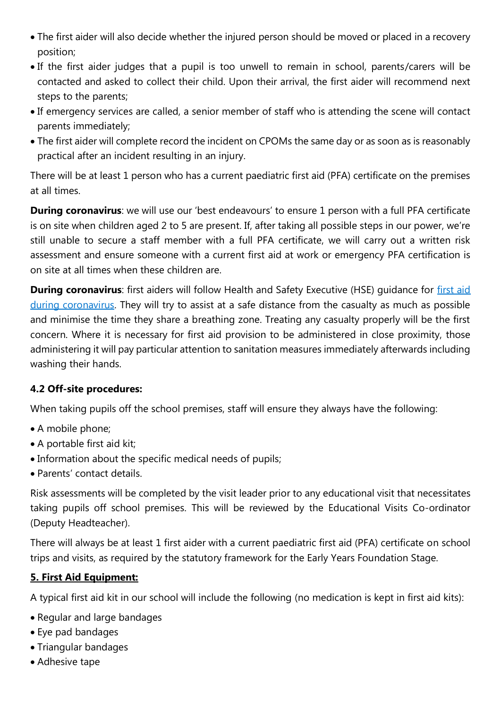- The first aider will also decide whether the injured person should be moved or placed in a recovery position;
- If the first aider judges that a pupil is too unwell to remain in school, parents/carers will be contacted and asked to collect their child. Upon their arrival, the first aider will recommend next steps to the parents;
- If emergency services are called, a senior member of staff who is attending the scene will contact parents immediately;
- The first aider will complete record the incident on CPOMs the same day or as soon as is reasonably practical after an incident resulting in an injury.

There will be at least 1 person who has a current paediatric first aid (PFA) certificate on the premises at all times.

**During coronavirus**: we will use our 'best endeavours' to ensure 1 person with a full PFA certificate is on site when children aged 2 to 5 are present. If, after taking all possible steps in our power, we're still unable to secure a staff member with a full PFA certificate, we will carry out a written risk assessment and ensure someone with a current first aid at work or emergency PFA certification is on site at all times when these children are.

**During coronavirus**: first aiders will follow Health and Safety Executive (HSE) quidance for first aid [during coronavirus.](https://www.hse.gov.uk/coronavirus/first-aid-and-medicals/first-aid-certificate-coronavirus.htm) They will try to assist at a safe distance from the casualty as much as possible and minimise the time they share a breathing zone. Treating any casualty properly will be the first concern. Where it is necessary for first aid provision to be administered in close proximity, those administering it will pay particular attention to sanitation measures immediately afterwards including washing their hands.

#### **4.2 Off-site procedures:**

When taking pupils off the school premises, staff will ensure they always have the following:

- A mobile phone;
- A portable first aid kit;
- Information about the specific medical needs of pupils;
- Parents' contact details.

Risk assessments will be completed by the visit leader prior to any educational visit that necessitates taking pupils off school premises. This will be reviewed by the Educational Visits Co-ordinator (Deputy Headteacher).

There will always be at least 1 first aider with a current paediatric first aid (PFA) certificate on school trips and visits, as required by the statutory framework for the Early Years Foundation Stage.

#### **5. First Aid Equipment:**

A typical first aid kit in our school will include the following (no medication is kept in first aid kits):

- Regular and large bandages
- Eye pad bandages
- Triangular bandages
- Adhesive tape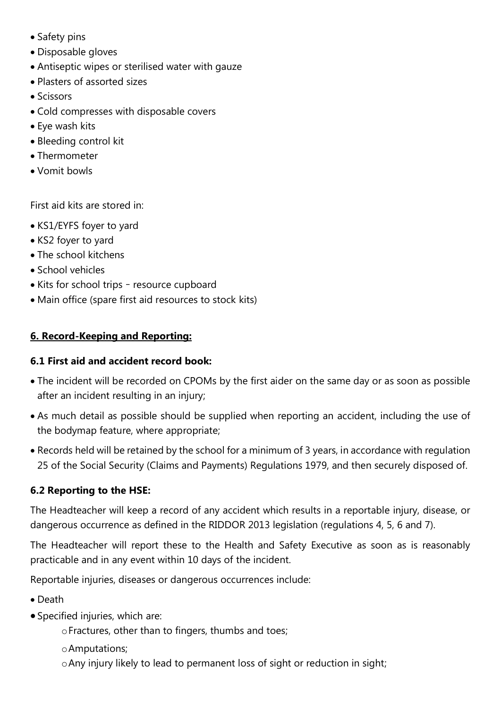- Safety pins
- Disposable gloves
- Antiseptic wipes or sterilised water with gauze
- Plasters of assorted sizes
- Scissors
- Cold compresses with disposable covers
- Eye wash kits
- Bleeding control kit
- Thermometer
- Vomit bowls

First aid kits are stored in:

- KS1/EYFS foyer to yard
- KS2 foyer to yard
- The school kitchens
- School vehicles
- Kits for school trips resource cupboard
- Main office (spare first aid resources to stock kits)

#### **6. Record-Keeping and Reporting:**

#### **6.1 First aid and accident record book:**

- The incident will be recorded on CPOMs by the first aider on the same day or as soon as possible after an incident resulting in an injury;
- As much detail as possible should be supplied when reporting an accident, including the use of the bodymap feature, where appropriate;
- Records held will be retained by the school for a minimum of 3 years, in accordance with regulation 25 of the Social Security (Claims and Payments) Regulations 1979, and then securely disposed of.

#### **6.2 Reporting to the HSE:**

The Headteacher will keep a record of any accident which results in a reportable injury, disease, or dangerous occurrence as defined in the RIDDOR 2013 legislation (regulations 4, 5, 6 and 7).

The Headteacher will report these to the Health and Safety Executive as soon as is reasonably practicable and in any event within 10 days of the incident.

Reportable injuries, diseases or dangerous occurrences include:

- Death
- Specified injuries, which are:
	- oFractures, other than to fingers, thumbs and toes;
	- oAmputations;
	- oAny injury likely to lead to permanent loss of sight or reduction in sight;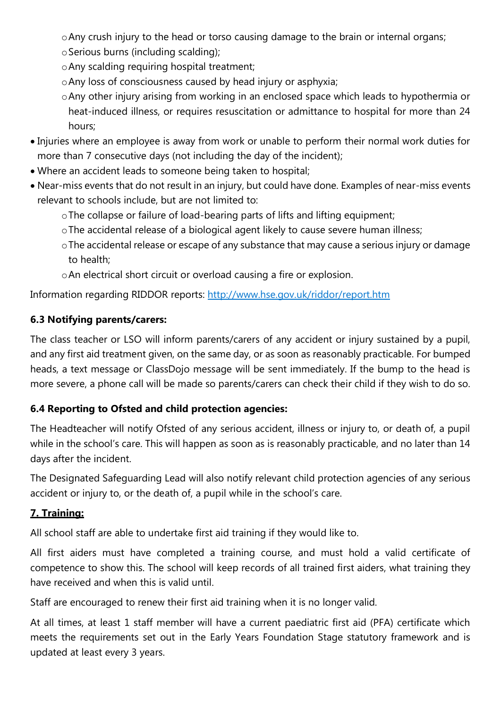oAny crush injury to the head or torso causing damage to the brain or internal organs;

- oSerious burns (including scalding);
- oAny scalding requiring hospital treatment;
- oAny loss of consciousness caused by head injury or asphyxia;
- oAny other injury arising from working in an enclosed space which leads to hypothermia or heat-induced illness, or requires resuscitation or admittance to hospital for more than 24 hours;
- Injuries where an employee is away from work or unable to perform their normal work duties for more than 7 consecutive days (not including the day of the incident);
- Where an accident leads to someone being taken to hospital;
- Near-miss events that do not result in an injury, but could have done. Examples of near-miss events relevant to schools include, but are not limited to:
	- oThe collapse or failure of load-bearing parts of lifts and lifting equipment;
	- oThe accidental release of a biological agent likely to cause severe human illness;
	- oThe accidental release or escape of any substance that may cause a serious injury or damage to health;
	- oAn electrical short circuit or overload causing a fire or explosion.

Information regarding RIDDOR reports: <http://www.hse.gov.uk/riddor/report.htm>

# **6.3 Notifying parents/carers:**

The class teacher or LSO will inform parents/carers of any accident or injury sustained by a pupil, and any first aid treatment given, on the same day, or as soon as reasonably practicable. For bumped heads, a text message or ClassDojo message will be sent immediately. If the bump to the head is more severe, a phone call will be made so parents/carers can check their child if they wish to do so.

# **6.4 Reporting to Ofsted and child protection agencies:**

The Headteacher will notify Ofsted of any serious accident, illness or injury to, or death of, a pupil while in the school's care. This will happen as soon as is reasonably practicable, and no later than 14 days after the incident.

The Designated Safeguarding Lead will also notify relevant child protection agencies of any serious accident or injury to, or the death of, a pupil while in the school's care.

#### **7. Training:**

All school staff are able to undertake first aid training if they would like to.

All first aiders must have completed a training course, and must hold a valid certificate of competence to show this. The school will keep records of all trained first aiders, what training they have received and when this is valid until.

Staff are encouraged to renew their first aid training when it is no longer valid.

At all times, at least 1 staff member will have a current paediatric first aid (PFA) certificate which meets the requirements set out in the Early Years Foundation Stage statutory framework and is updated at least every 3 years.